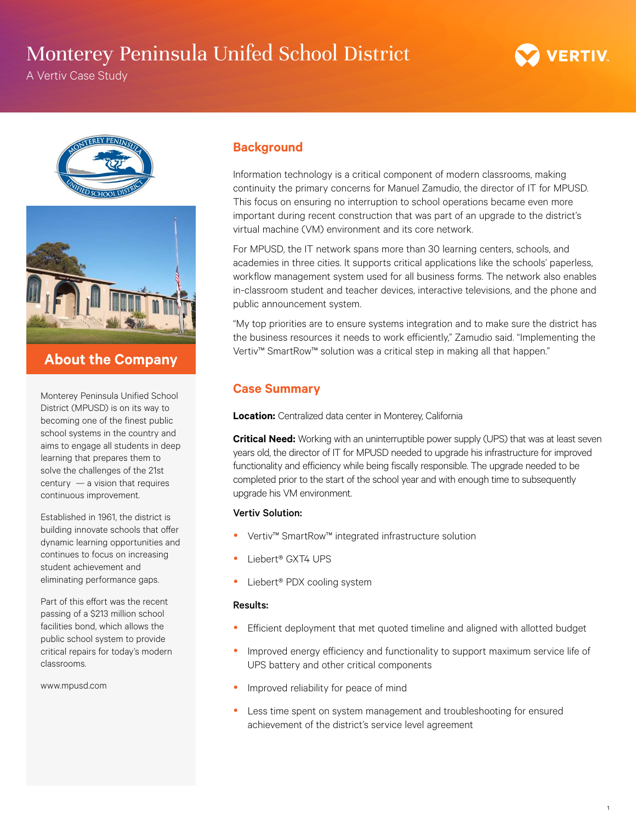## Monterey Peninsula Unifed School District

A Vertiv Case Study



## **About the Company**

Monterey Peninsula Unified School District (MPUSD) is on its way to becoming one of the finest public school systems in the country and aims to engage all students in deep learning that prepares them to solve the challenges of the 21st century — a vision that requires continuous improvement.

Established in 1961, the district is building innovate schools that offer dynamic learning opportunities and continues to focus on increasing student achievement and eliminating performance gaps.

Part of this effort was the recent passing of a \$213 million school facilities bond, which allows the public school system to provide critical repairs for today's modern classrooms.

www.mpusd.com

### **Background**

Information technology is a critical component of modern classrooms, making continuity the primary concerns for Manuel Zamudio, the director of IT for MPUSD. This focus on ensuring no interruption to school operations became even more important during recent construction that was part of an upgrade to the district's virtual machine (VM) environment and its core network.

For MPUSD, the IT network spans more than 30 learning centers, schools, and academies in three cities. It supports critical applications like the schools' paperless, workflow management system used for all business forms. The network also enables in-classroom student and teacher devices, interactive televisions, and the phone and public announcement system.

"My top priorities are to ensure systems integration and to make sure the district has the business resources it needs to work efficiently," Zamudio said. "Implementing the Vertiv™ SmartRow™ solution was a critical step in making all that happen."

## **Case Summary**

**Location:** Centralized data center in Monterey, California

**Critical Need:** Working with an uninterruptible power supply (UPS) that was at least seven years old, the director of IT for MPUSD needed to upgrade his infrastructure for improved functionality and efficiency while being fiscally responsible. The upgrade needed to be completed prior to the start of the school year and with enough time to subsequently upgrade his VM environment.

### Vertiv Solution:

- Vertiv™ SmartRow™ integrated infrastructure solution
- Liebert® GXT4 UPS
- Liebert® PDX cooling system

#### Results:

- Efficient deployment that met quoted timeline and aligned with allotted budget
- Improved energy efficiency and functionality to support maximum service life of UPS battery and other critical components
- Improved reliability for peace of mind
- Less time spent on system management and troubleshooting for ensured achievement of the district's service level agreement

1